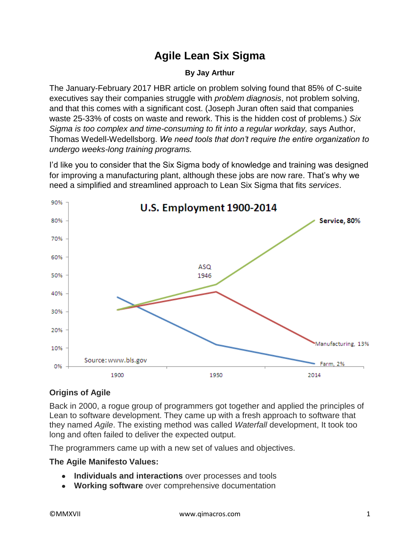# **Agile Lean Six Sigma**

#### **By Jay Arthur**

The January-February 2017 HBR article on problem solving found that 85% of C-suite executives say their companies struggle with *problem diagnosis*, not problem solving, and that this comes with a significant cost. (Joseph Juran often said that companies waste 25-33% of costs on waste and rework. This is the hidden cost of problems.) *Six Sigma is too complex and time-consuming to fit into a regular workday, s*ays Author, Thomas Wedell-Wedellsborg. *We need tools that don't require the entire organization to undergo weeks-long training programs.*

I'd like you to consider that the Six Sigma body of knowledge and training was designed for improving a manufacturing plant, although these jobs are now rare. That's why we need a simplified and streamlined approach to Lean Six Sigma that fits *services*.



# **Origins of Agile**

Back in 2000, a rogue group of programmers got together and applied the principles of Lean to software development. They came up with a fresh approach to software that they named *Agile*. The existing method was called *Waterfall* development, It took too long and often failed to deliver the expected output.

The programmers came up with a new set of values and objectives.

# **The Agile Manifesto Values:**

- **Individuals and interactions** over processes and tools
- **Working software** over comprehensive documentation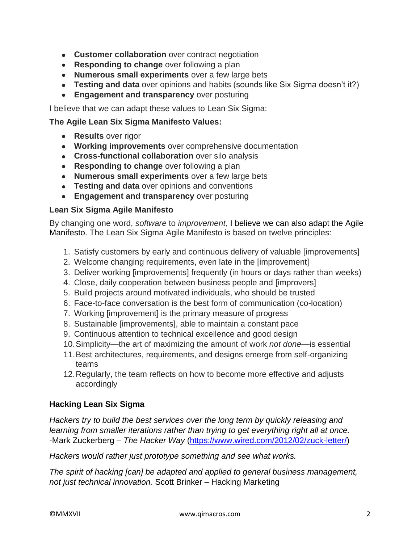- **Customer collaboration** over contract negotiation
- **Responding to change** over following a plan
- **Numerous small experiments** over a few large bets
- **Testing and data** over opinions and habits (sounds like Six Sigma doesn't it?)
- **Engagement and transparency** over posturing

I believe that we can adapt these values to Lean Six Sigma:

# **The Agile Lean Six Sigma Manifesto Values:**

- **Results** over rigor
- **Working improvements** over comprehensive documentation
- **Cross-functional collaboration** over silo analysis
- **Responding to change** over following a plan
- **Numerous small experiments** over a few large bets
- **Testing and data** over opinions and conventions
- **Engagement and transparency** over posturing

# **Lean Six Sigma Agile Manifesto**

By changing one word, *software* to *improvement,* I believe we can also adapt the Agile Manifesto. The Lean Six Sigma Agile Manifesto is based on twelve principles:

- 1. Satisfy customers by early and continuous delivery of valuable [improvements]
- 2. Welcome changing requirements, even late in the [improvement]
- 3. Deliver working [improvements] frequently (in hours or days rather than weeks)
- 4. Close, daily cooperation between business people and [improvers]
- 5. Build projects around motivated individuals, who should be trusted
- 6. Face-to-face conversation is the best form of communication (co-location)
- 7. Working [improvement] is the primary measure of progress
- 8. Sustainable [improvements], able to maintain a constant pace
- 9. Continuous attention to technical excellence and good design
- 10.Simplicity—the art of maximizing the amount of work *not done*—is essential
- 11.Best architectures, requirements, and designs emerge from self-organizing teams
- 12.Regularly, the team reflects on how to become more effective and adjusts accordingly

# **Hacking Lean Six Sigma**

*Hackers try to build the best services over the long term by quickly releasing and learning from smaller iterations rather than trying to get everything right all at once.* -Mark Zuckerberg – *The Hacker Way* [\(https://www.wired.com/2012/02/zuck-letter/\)](https://www.wired.com/2012/02/zuck-letter/)

*Hackers would rather just prototype something and see what works.*

*The spirit of hacking [can] be adapted and applied to general business management, not just technical innovation.* Scott Brinker – Hacking Marketing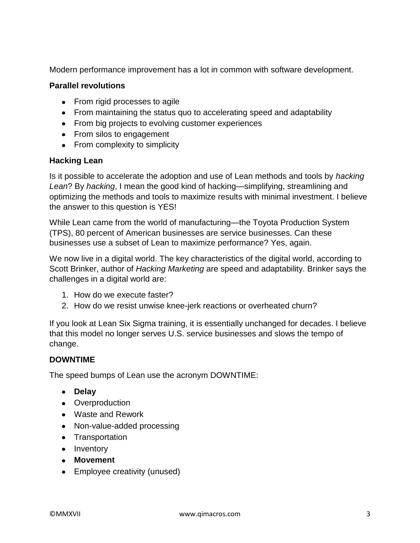Modern performance improvement has a lot in common with software development.

# **Parallel revolutions**

- From rigid processes to agile
- From maintaining the status quo to accelerating speed and adaptability
- From big projects to evolving customer experiences
- From silos to engagement
- From complexity to simplicity

# **Hacking Lean**

Is it possible to accelerate the adoption and use of Lean methods and tools by *hacking Lean*? By *hacking*, I mean the good kind of hacking—simplifying, streamlining and optimizing the methods and tools to maximize results with minimal investment. I believe the answer to this question is YES!

While Lean came from the world of manufacturing—the Toyota Production System (TPS), 80 percent of American businesses are service businesses. Can these businesses use a subset of Lean to maximize performance? Yes, again.

We now live in a digital world. The key characteristics of the digital world, according to Scott Brinker, author of *Hacking Marketing* are speed and adaptability. Brinker says the challenges in a digital world are:

- 1. How do we execute faster?
- 2. How do we resist unwise knee-jerk reactions or overheated churn?

If you look at Lean Six Sigma training, it is essentially unchanged for decades. I believe that this model no longer serves U.S. service businesses and slows the tempo of change.

# **DOWNTIME**

The speed bumps of Lean use the acronym DOWNTIME:

- **•** Delay
- Overproduction
- Waste and Rework
- Non-value-added processing
- Transportation
- Inventory
- **Movement**
- Employee creativity (unused)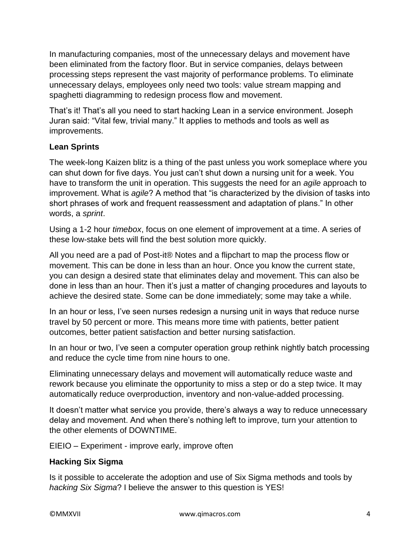In manufacturing companies, most of the unnecessary delays and movement have been eliminated from the factory floor. But in service companies, delays between processing steps represent the vast majority of performance problems. To eliminate unnecessary delays, employees only need two tools: value stream mapping and spaghetti diagramming to redesign process flow and movement.

That's it! That's all you need to start hacking Lean in a service environment. Joseph Juran said: "Vital few, trivial many." It applies to methods and tools as well as improvements.

# **Lean Sprints**

The week-long Kaizen blitz is a thing of the past unless you work someplace where you can shut down for five days. You just can't shut down a nursing unit for a week. You have to transform the unit in operation. This suggests the need for an *agile* approach to improvement. What is *agile*? A method that "is characterized by the division of tasks into short phrases of work and frequent reassessment and adaptation of plans." In other words, a *sprint*.

Using a 1-2 hour *timebox*, focus on one element of improvement at a time. A series of these low-stake bets will find the best solution more quickly.

All you need are a pad of Post-it® Notes and a flipchart to map the process flow or movement. This can be done in less than an hour. Once you know the current state, you can design a desired state that eliminates delay and movement. This can also be done in less than an hour. Then it's just a matter of changing procedures and layouts to achieve the desired state. Some can be done immediately; some may take a while.

In an hour or less, I've seen nurses redesign a nursing unit in ways that reduce nurse travel by 50 percent or more. This means more time with patients, better patient outcomes, better patient satisfaction and better nursing satisfaction.

In an hour or two, I've seen a computer operation group rethink nightly batch processing and reduce the cycle time from nine hours to one.

Eliminating unnecessary delays and movement will automatically reduce waste and rework because you eliminate the opportunity to miss a step or do a step twice. It may automatically reduce overproduction, inventory and non-value-added processing.

It doesn't matter what service you provide, there's always a way to reduce unnecessary delay and movement. And when there's nothing left to improve, turn your attention to the other elements of DOWNTIME.

EIEIO – Experiment - improve early, improve often

# **Hacking Six Sigma**

Is it possible to accelerate the adoption and use of Six Sigma methods and tools by *hacking Six Sigma*? I believe the answer to this question is YES!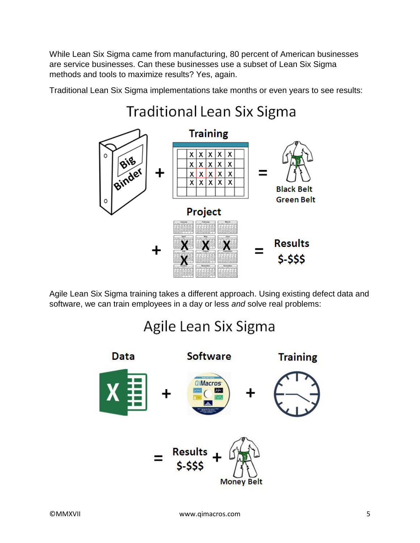While Lean Six Sigma came from manufacturing, 80 percent of American businesses are service businesses. Can these businesses use a subset of Lean Six Sigma methods and tools to maximize results? Yes, again.

Traditional Lean Six Sigma implementations take months or even years to see results:



Agile Lean Six Sigma training takes a different approach. Using existing defect data and software, we can train employees in a day or less *and* solve real problems:

# Agile Lean Six Sigma

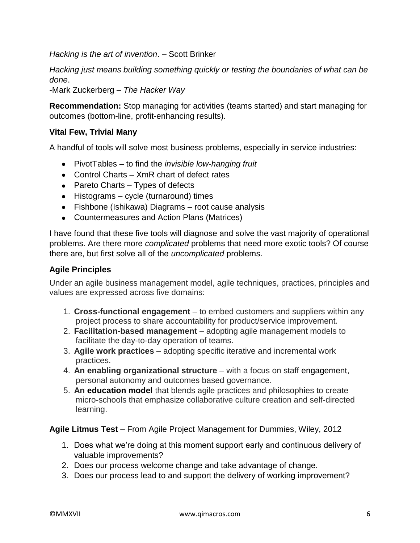*Hacking is the art of invention*. – Scott Brinker

*Hacking just means building something quickly or testing the boundaries of what can be done*.

-Mark Zuckerberg – *The Hacker Way*

**Recommendation:** Stop managing for activities (teams started) and start managing for outcomes (bottom-line, profit-enhancing results).

# **Vital Few, Trivial Many**

A handful of tools will solve most business problems, especially in service industries:

- PivotTables to find the *invisible low-hanging fruit*
- Control Charts XmR chart of defect rates
- Pareto Charts  $-$  Types of defects
- Histograms cycle (turnaround) times
- Fishbone (Ishikawa) Diagrams root cause analysis
- Countermeasures and Action Plans (Matrices)

I have found that these five tools will diagnose and solve the vast majority of operational problems. Are there more *complicated* problems that need more exotic tools? Of course there are, but first solve all of the *uncomplicated* problems.

#### **Agile Principles**

Under an agile business management model, agile techniques, practices, principles and values are expressed across five domains:

- 1. **Cross-functional engagement** to embed customers and suppliers within any project process to share accountability for product/service improvement.
- 2. **Facilitation-based management** adopting agile management models to facilitate the day-to-day operation of teams.
- 3. **Agile work practices** adopting specific iterative and incremental work practices.
- 4. **An enabling organizational structure** with a focus on staff engagement, personal autonomy and outcomes based governance.
- 5. **An education model** that blends agile practices and philosophies to create micro-schools that emphasize collaborative culture creation and self-directed learning.

**Agile Litmus Test** – From Agile Project Management for Dummies, Wiley, 2012

- 1. Does what we're doing at this moment support early and continuous delivery of valuable improvements?
- 2. Does our process welcome change and take advantage of change.
- 3. Does our process lead to and support the delivery of working improvement?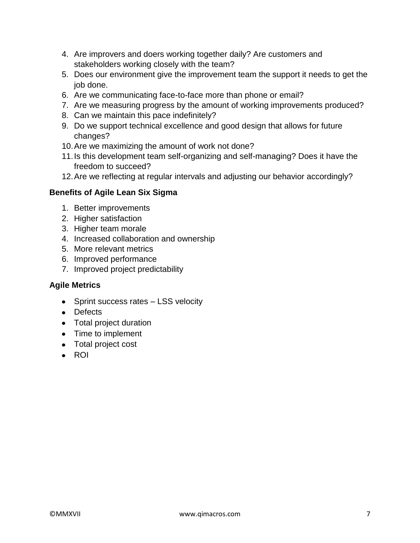- 4. Are improvers and doers working together daily? Are customers and stakeholders working closely with the team?
- 5. Does our environment give the improvement team the support it needs to get the job done.
- 6. Are we communicating face-to-face more than phone or email?
- 7. Are we measuring progress by the amount of working improvements produced?
- 8. Can we maintain this pace indefinitely?
- 9. Do we support technical excellence and good design that allows for future changes?
- 10.Are we maximizing the amount of work not done?
- 11.Is this development team self-organizing and self-managing? Does it have the freedom to succeed?
- 12.Are we reflecting at regular intervals and adjusting our behavior accordingly?

# **Benefits of Agile Lean Six Sigma**

- 1. Better improvements
- 2. Higher satisfaction
- 3. Higher team morale
- 4. Increased collaboration and ownership
- 5. More relevant metrics
- 6. Improved performance
- 7. Improved project predictability

# **Agile Metrics**

- Sprint success rates LSS velocity
- Defects
- Total project duration
- Time to implement
- Total project cost
- $\bullet$  ROI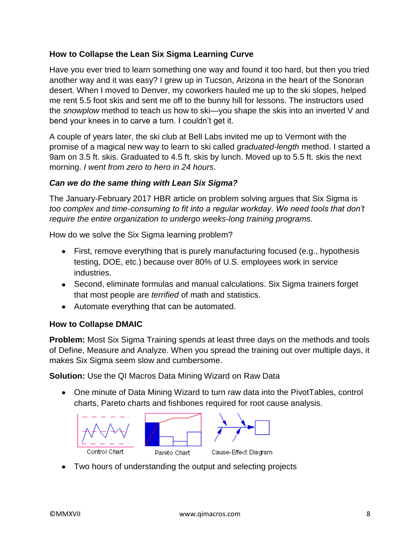# **How to Collapse the Lean Six Sigma Learning Curve**

Have you ever tried to learn something one way and found it too hard, but then you tried another way and it was easy? I grew up in Tucson, Arizona in the heart of the Sonoran desert. When I moved to Denver, my coworkers hauled me up to the ski slopes, helped me rent 5.5 foot skis and sent me off to the bunny hill for lessons. The instructors used the *snowplow* method to teach us how to ski—you shape the skis into an inverted V and bend your knees in to carve a turn. I couldn't get it.

A couple of years later, the ski club at Bell Labs invited me up to Vermont with the promise of a magical new way to learn to ski called *graduated-length* method. I started a 9am on 3.5 ft. skis. Graduated to 4.5 ft. skis by lunch. Moved up to 5.5 ft. skis the next morning. *I went from zero to hero in 24 hours*.

# *Can we do the same thing with Lean Six Sigma?*

The January-February 2017 HBR article on problem solving argues that Six Sigma is *too complex and time-consuming to fit into a regular workday. We need tools that don't require the entire organization to undergo weeks-long training programs.*

How do we solve the Six Sigma learning problem?

- First, remove everything that is purely manufacturing focused (e.g., hypothesis testing, DOE, etc.) because over 80% of U.S. employees work in service industries.
- Second, eliminate formulas and manual calculations. Six Sigma trainers forget that most people are *terrified* of math and statistics.
- Automate everything that can be automated.

# **How to Collapse DMAIC**

**Problem:** Most Six Sigma Training spends at least three days on the methods and tools of Define, Measure and Analyze. When you spread the training out over multiple days, it makes Six Sigma seem slow and cumbersome.

**Solution:** Use the QI Macros Data Mining Wizard on Raw Data

One minute of Data Mining Wizard to turn raw data into the PivotTables, control charts, Pareto charts and fishbones required for root cause analysis.



Two hours of understanding the output and selecting projects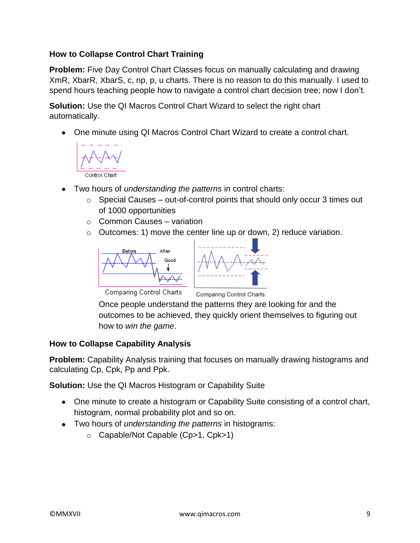# **How to Collapse Control Chart Training**

**Problem:** Five Day Control Chart Classes focus on manually calculating and drawing XmR, XbarR, XbarS, c, np, p, u charts. There is no reason to do this manually. I used to spend hours teaching people how to navigate a control chart decision tree; now I don't.

**Solution:** Use the QI Macros Control Chart Wizard to select the right chart automatically.

One minute using QI Macros Control Chart Wizard to create a control chart.



- Two hours of *understanding the patterns* in control charts:  $\bullet$ 
	- $\circ$  Special Causes out-of-control points that should only occur 3 times out of 1000 opportunities
	- $\circ$  Common Causes variation
	- $\circ$  Outcomes: 1) move the center line up or down, 2) reduce variation.





**Comparing Control Charts** 

Comparing Control Charts

Once people understand the patterns they are looking for and the outcomes to be achieved, they quickly orient themselves to figuring out how to *win the game*.

# **How to Collapse Capability Analysis**

**Problem:** Capability Analysis training that focuses on manually drawing histograms and calculating Cp, Cpk, Pp and Ppk.

**Solution:** Use the QI Macros Histogram or Capability Suite

- One minute to create a histogram or Capability Suite consisting of a control chart, histogram, normal probability plot and so on.
- Two hours of *understanding the patterns* in histograms:
	- o Capable/Not Capable (Cp>1, Cpk>1)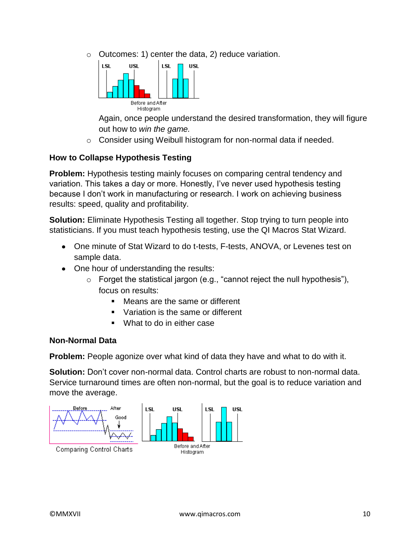o Outcomes: 1) center the data, 2) reduce variation.



Again, once people understand the desired transformation, they will figure out how to *win the game.*

o Consider using Weibull histogram for non-normal data if needed.

# **How to Collapse Hypothesis Testing**

**Problem:** Hypothesis testing mainly focuses on comparing central tendency and variation. This takes a day or more. Honestly, I've never used hypothesis testing because I don't work in manufacturing or research. I work on achieving business results: speed, quality and profitability.

**Solution:** Eliminate Hypothesis Testing all together. Stop trying to turn people into statisticians. If you must teach hypothesis testing, use the QI Macros Stat Wizard.

- One minute of Stat Wizard to do t-tests, F-tests, ANOVA, or Levenes test on sample data.
- One hour of understanding the results:
	- $\circ$  Forget the statistical jargon (e.g., "cannot reject the null hypothesis"), focus on results:
		- Means are the same or different
		- Variation is the same or different
		- **What to do in either case**

#### **Non-Normal Data**

**Problem:** People agonize over what kind of data they have and what to do with it.

**Solution:** Don't cover non-normal data. Control charts are robust to non-normal data. Service turnaround times are often non-normal, but the goal is to reduce variation and move the average.

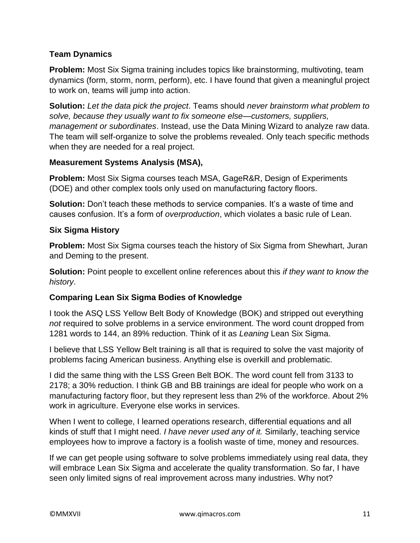# **Team Dynamics**

**Problem:** Most Six Sigma training includes topics like brainstorming, multivoting, team dynamics (form, storm, norm, perform), etc. I have found that given a meaningful project to work on, teams will jump into action.

**Solution:** *Let the data pick the project*. Teams should *never brainstorm what problem to solve, because they usually want to fix someone else—customers, suppliers, management or subordinates*. Instead, use the Data Mining Wizard to analyze raw data. The team will self-organize to solve the problems revealed. Only teach specific methods when they are needed for a real project.

# **Measurement Systems Analysis (MSA),**

**Problem:** Most Six Sigma courses teach MSA, GageR&R, Design of Experiments (DOE) and other complex tools only used on manufacturing factory floors.

**Solution:** Don't teach these methods to service companies. It's a waste of time and causes confusion. It's a form of *overproduction*, which violates a basic rule of Lean.

# **Six Sigma History**

**Problem:** Most Six Sigma courses teach the history of Six Sigma from Shewhart, Juran and Deming to the present.

**Solution:** Point people to excellent online references about this *if they want to know the history*.

# **Comparing Lean Six Sigma Bodies of Knowledge**

I took the ASQ LSS Yellow Belt Body of Knowledge (BOK) and stripped out everything *not* required to solve problems in a service environment. The word count dropped from 1281 words to 144, an 89% reduction. Think of it as *Leaning* Lean Six Sigma.

I believe that LSS Yellow Belt training is all that is required to solve the vast majority of problems facing American business. Anything else is overkill and problematic.

I did the same thing with the LSS Green Belt BOK. The word count fell from 3133 to 2178; a 30% reduction. I think GB and BB trainings are ideal for people who work on a manufacturing factory floor, but they represent less than 2% of the workforce. About 2% work in agriculture. Everyone else works in services.

When I went to college, I learned operations research, differential equations and all kinds of stuff that I might need. *I have never used any of it.* Similarly, teaching service employees how to improve a factory is a foolish waste of time, money and resources.

If we can get people using software to solve problems immediately using real data, they will embrace Lean Six Sigma and accelerate the quality transformation. So far, I have seen only limited signs of real improvement across many industries. Why not?